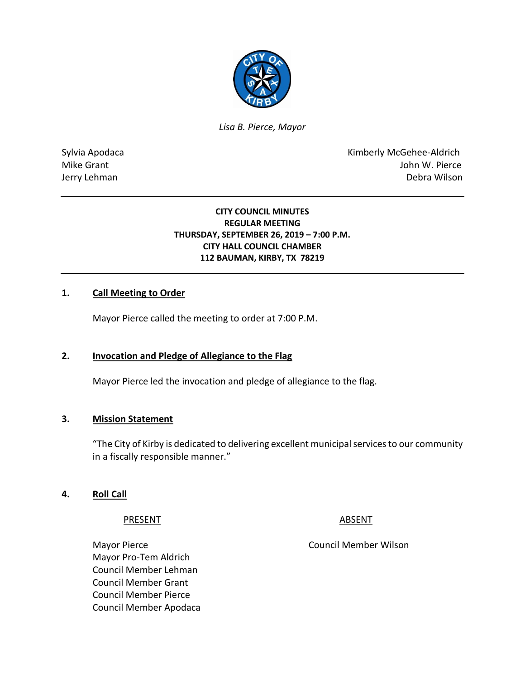

*Lisa B. Pierce, Mayor* 

Sylvia Apodaca **Kimberly McGehee-Aldrich** Mike Grant **Mike Grant** John W. Pierce Jerry Lehman Debra Wilson

### **CITY COUNCIL MINUTES REGULAR MEETING THURSDAY, SEPTEMBER 26, 2019 – 7:00 P.M. CITY HALL COUNCIL CHAMBER 112 BAUMAN, KIRBY, TX 78219**

### **1. Call Meeting to Order**

Mayor Pierce called the meeting to order at 7:00 P.M.

### **2. Invocation and Pledge of Allegiance to the Flag**

Mayor Pierce led the invocation and pledge of allegiance to the flag.

#### **3. Mission Statement**

"The City of Kirby is dedicated to delivering excellent municipal services to our community in a fiscally responsible manner."

#### **4. Roll Call**

#### PRESENT ABSENT

Mayor Pierce **Council Member Wilson** Mayor Pro-Tem Aldrich Council Member Lehman Council Member Grant Council Member Pierce Council Member Apodaca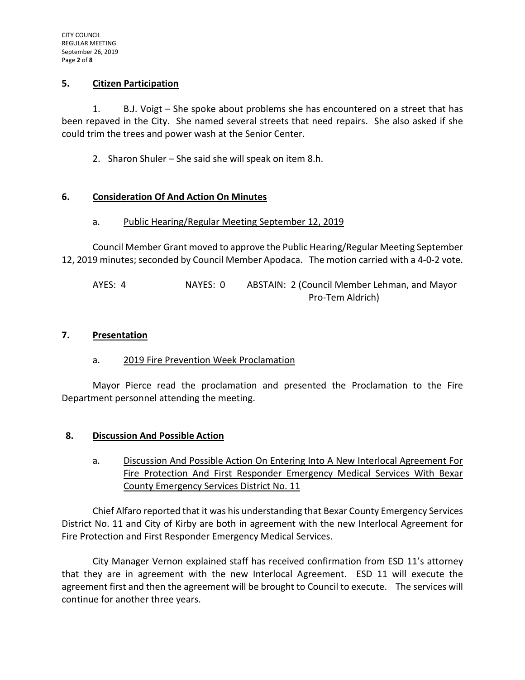### **5. Citizen Participation**

1. B.J. Voigt – She spoke about problems she has encountered on a street that has been repaved in the City. She named several streets that need repairs. She also asked if she could trim the trees and power wash at the Senior Center.

2. Sharon Shuler – She said she will speak on item 8.h.

### **6. Consideration Of And Action On Minutes**

### a. Public Hearing/Regular Meeting September 12, 2019

Council Member Grant moved to approve the Public Hearing/Regular Meeting September 12, 2019 minutes; seconded by Council Member Apodaca. The motion carried with a 4-0-2 vote.

AYES: 4 NAYES: 0 ABSTAIN: 2 (Council Member Lehman, and Mayor Pro-Tem Aldrich)

#### **7. Presentation**

### a. 2019 Fire Prevention Week Proclamation

Mayor Pierce read the proclamation and presented the Proclamation to the Fire Department personnel attending the meeting.

### **8. Discussion And Possible Action**

a. Discussion And Possible Action On Entering Into A New Interlocal Agreement For Fire Protection And First Responder Emergency Medical Services With Bexar County Emergency Services District No. 11

Chief Alfaro reported that it was his understanding that Bexar County Emergency Services District No. 11 and City of Kirby are both in agreement with the new Interlocal Agreement for Fire Protection and First Responder Emergency Medical Services.

City Manager Vernon explained staff has received confirmation from ESD 11's attorney that they are in agreement with the new Interlocal Agreement. ESD 11 will execute the agreement first and then the agreement will be brought to Council to execute. The services will continue for another three years.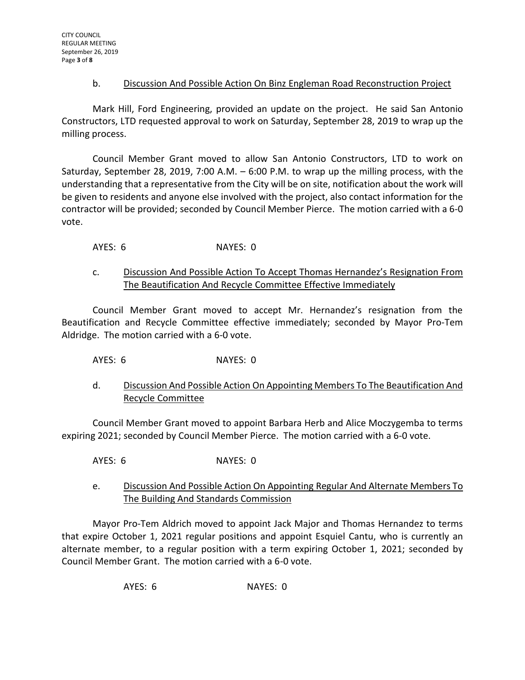### b. Discussion And Possible Action On Binz Engleman Road Reconstruction Project

Mark Hill, Ford Engineering, provided an update on the project. He said San Antonio Constructors, LTD requested approval to work on Saturday, September 28, 2019 to wrap up the milling process.

Council Member Grant moved to allow San Antonio Constructors, LTD to work on Saturday, September 28, 2019, 7:00 A.M. – 6:00 P.M. to wrap up the milling process, with the understanding that a representative from the City will be on site, notification about the work will be given to residents and anyone else involved with the project, also contact information for the contractor will be provided; seconded by Council Member Pierce. The motion carried with a 6-0 vote.

AYES: 6 NAYES: 0

## c. Discussion And Possible Action To Accept Thomas Hernandez's Resignation From The Beautification And Recycle Committee Effective Immediately

Council Member Grant moved to accept Mr. Hernandez's resignation from the Beautification and Recycle Committee effective immediately; seconded by Mayor Pro-Tem Aldridge. The motion carried with a 6-0 vote.

AYES: 6 NAYES: 0

# d. Discussion And Possible Action On Appointing Members To The Beautification And Recycle Committee

Council Member Grant moved to appoint Barbara Herb and Alice Moczygemba to terms expiring 2021; seconded by Council Member Pierce. The motion carried with a 6-0 vote.

AYES: 6 NAYES: 0

e. Discussion And Possible Action On Appointing Regular And Alternate Members To The Building And Standards Commission

Mayor Pro-Tem Aldrich moved to appoint Jack Major and Thomas Hernandez to terms that expire October 1, 2021 regular positions and appoint Esquiel Cantu, who is currently an alternate member, to a regular position with a term expiring October 1, 2021; seconded by Council Member Grant. The motion carried with a 6-0 vote.

AYES: 6 NAYES: 0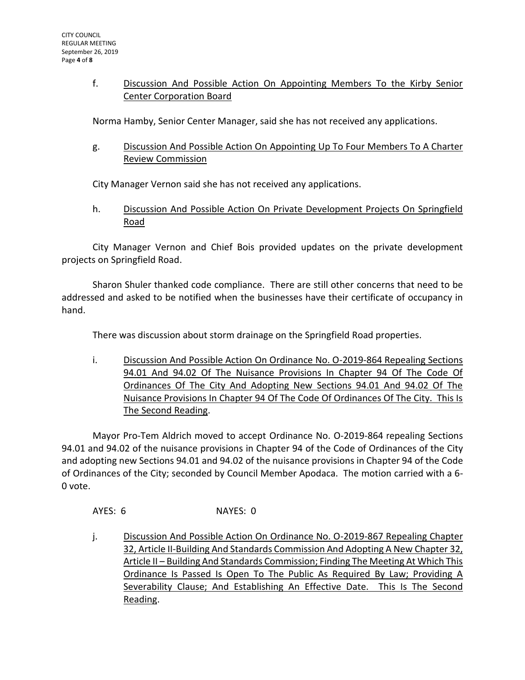## f. Discussion And Possible Action On Appointing Members To the Kirby Senior Center Corporation Board

Norma Hamby, Senior Center Manager, said she has not received any applications.

g. Discussion And Possible Action On Appointing Up To Four Members To A Charter Review Commission

City Manager Vernon said she has not received any applications.

h. Discussion And Possible Action On Private Development Projects On Springfield Road

City Manager Vernon and Chief Bois provided updates on the private development projects on Springfield Road.

Sharon Shuler thanked code compliance. There are still other concerns that need to be addressed and asked to be notified when the businesses have their certificate of occupancy in hand.

There was discussion about storm drainage on the Springfield Road properties.

i. Discussion And Possible Action On Ordinance No. O-2019-864 Repealing Sections 94.01 And 94.02 Of The Nuisance Provisions In Chapter 94 Of The Code Of Ordinances Of The City And Adopting New Sections 94.01 And 94.02 Of The Nuisance Provisions In Chapter 94 Of The Code Of Ordinances Of The City. This Is The Second Reading.

Mayor Pro-Tem Aldrich moved to accept Ordinance No. O-2019-864 repealing Sections 94.01 and 94.02 of the nuisance provisions in Chapter 94 of the Code of Ordinances of the City and adopting new Sections 94.01 and 94.02 of the nuisance provisions in Chapter 94 of the Code of Ordinances of the City; seconded by Council Member Apodaca. The motion carried with a 6- 0 vote.

AYES: 6 NAYES: 0

j. Discussion And Possible Action On Ordinance No. O-2019-867 Repealing Chapter 32, Article II-Building And Standards Commission And Adopting A New Chapter 32, Article II – Building And Standards Commission; Finding The Meeting At Which This Ordinance Is Passed Is Open To The Public As Required By Law; Providing A Severability Clause; And Establishing An Effective Date. This Is The Second Reading.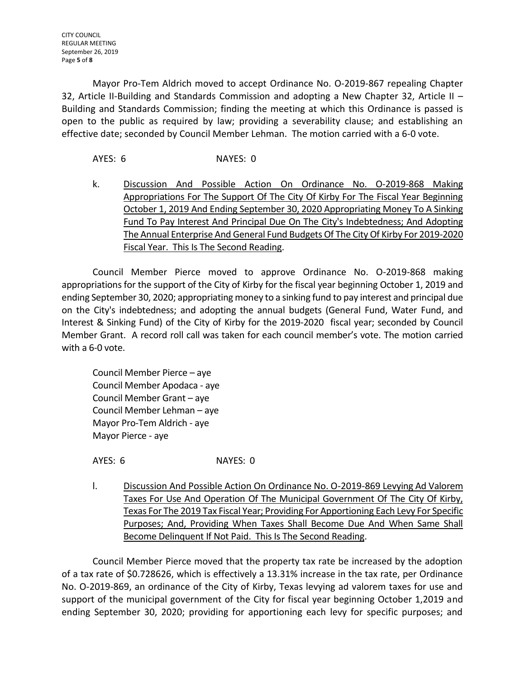Mayor Pro-Tem Aldrich moved to accept Ordinance No. O-2019-867 repealing Chapter 32, Article II-Building and Standards Commission and adopting a New Chapter 32, Article II – Building and Standards Commission; finding the meeting at which this Ordinance is passed is open to the public as required by law; providing a severability clause; and establishing an effective date; seconded by Council Member Lehman. The motion carried with a 6-0 vote.

AYES: 6 NAYES: 0

k. Discussion And Possible Action On Ordinance No. O-2019-868 Making Appropriations For The Support Of The City Of Kirby For The Fiscal Year Beginning October 1, 2019 And Ending September 30, 2020 Appropriating Money To A Sinking Fund To Pay Interest And Principal Due On The City's Indebtedness; And Adopting The Annual Enterprise And General Fund Budgets Of The City Of Kirby For 2019-2020 Fiscal Year. This Is The Second Reading.

Council Member Pierce moved to approve Ordinance No. O-2019-868 making appropriations for the support of the City of Kirby for the fiscal year beginning October 1, 2019 and ending September 30, 2020; appropriating money to a sinking fund to pay interest and principal due on the City's indebtedness; and adopting the annual budgets (General Fund, Water Fund, and Interest & Sinking Fund) of the City of Kirby for the 2019-2020 fiscal year; seconded by Council Member Grant. A record roll call was taken for each council member's vote. The motion carried with a 6-0 vote.

Council Member Pierce – aye Council Member Apodaca - aye Council Member Grant – aye Council Member Lehman – aye Mayor Pro-Tem Aldrich - aye Mayor Pierce - aye

AYES: 6 NAYES: 0

l. Discussion And Possible Action On Ordinance No. 0-2019-869 Levying Ad Valorem Taxes For Use And Operation Of The Municipal Government Of The City Of Kirby, Texas For The 2019 Tax Fiscal Year; Providing For Apportioning Each Levy For Specific Purposes; And, Providing When Taxes Shall Become Due And When Same Shall Become Delinquent If Not Paid. This Is The Second Reading.

Council Member Pierce moved that the property tax rate be increased by the adoption of a tax rate of \$0.728626, which is effectively a 13.31% increase in the tax rate, per Ordinance No. O-2019-869, an ordinance of the City of Kirby, Texas levying ad valorem taxes for use and support of the municipal government of the City for fiscal year beginning October 1,2019 and ending September 30, 2020; providing for apportioning each levy for specific purposes; and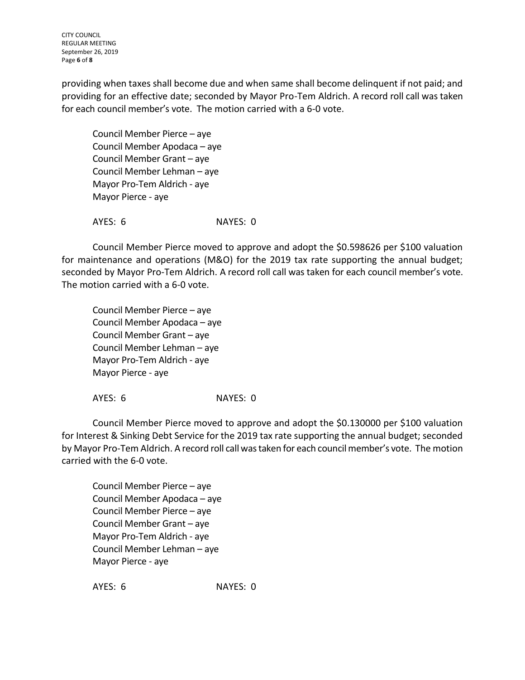CITY COUNCIL REGULAR MEETING September 26, 2019 Page **6** of **8**

providing when taxes shall become due and when same shall become delinquent if not paid; and providing for an effective date; seconded by Mayor Pro-Tem Aldrich. A record roll call was taken for each council member's vote. The motion carried with a 6-0 vote.

Council Member Pierce – aye Council Member Apodaca – aye Council Member Grant – aye Council Member Lehman – aye Mayor Pro-Tem Aldrich - aye Mayor Pierce - aye

AYES: 6 NAYES: 0

Council Member Pierce moved to approve and adopt the \$0.598626 per \$100 valuation for maintenance and operations (M&O) for the 2019 tax rate supporting the annual budget; seconded by Mayor Pro-Tem Aldrich. A record roll call was taken for each council member's vote. The motion carried with a 6-0 vote.

Council Member Pierce – aye Council Member Apodaca – aye Council Member Grant – aye Council Member Lehman – aye Mayor Pro-Tem Aldrich - aye Mayor Pierce - aye

AYES: 6 NAYES: 0

Council Member Pierce moved to approve and adopt the \$0.130000 per \$100 valuation for Interest & Sinking Debt Service for the 2019 tax rate supporting the annual budget; seconded by Mayor Pro-Tem Aldrich. A record roll call was taken for each council member's vote. The motion carried with the 6-0 vote.

Council Member Pierce – aye Council Member Apodaca – aye Council Member Pierce – aye Council Member Grant – aye Mayor Pro-Tem Aldrich - aye Council Member Lehman – aye Mayor Pierce - aye

AYES: 6 NAYES: 0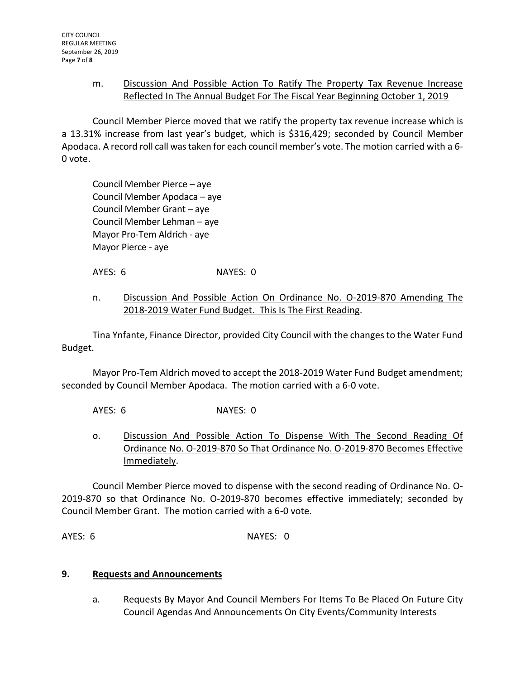## m. Discussion And Possible Action To Ratify The Property Tax Revenue Increase Reflected In The Annual Budget For The Fiscal Year Beginning October 1, 2019

Council Member Pierce moved that we ratify the property tax revenue increase which is a 13.31% increase from last year's budget, which is \$316,429; seconded by Council Member Apodaca. A record roll call was taken for each council member's vote. The motion carried with a 6- 0 vote.

Council Member Pierce – aye Council Member Apodaca – aye Council Member Grant – aye Council Member Lehman – aye Mayor Pro-Tem Aldrich - aye Mayor Pierce - aye

AYES: 6 NAYES: 0

## n. Discussion And Possible Action On Ordinance No. O-2019-870 Amending The 2018-2019 Water Fund Budget. This Is The First Reading.

Tina Ynfante, Finance Director, provided City Council with the changes to the Water Fund Budget.

Mayor Pro-Tem Aldrich moved to accept the 2018-2019 Water Fund Budget amendment; seconded by Council Member Apodaca. The motion carried with a 6-0 vote.

AYES: 6 NAYES: 0

o. Discussion And Possible Action To Dispense With The Second Reading Of Ordinance No. O-2019-870 So That Ordinance No. O-2019-870 Becomes Effective Immediately.

Council Member Pierce moved to dispense with the second reading of Ordinance No. O-2019-870 so that Ordinance No. O-2019-870 becomes effective immediately; seconded by Council Member Grant. The motion carried with a 6-0 vote.

AYES: 6 NAYES: 0

# **9. Requests and Announcements**

a. Requests By Mayor And Council Members For Items To Be Placed On Future City Council Agendas And Announcements On City Events/Community Interests